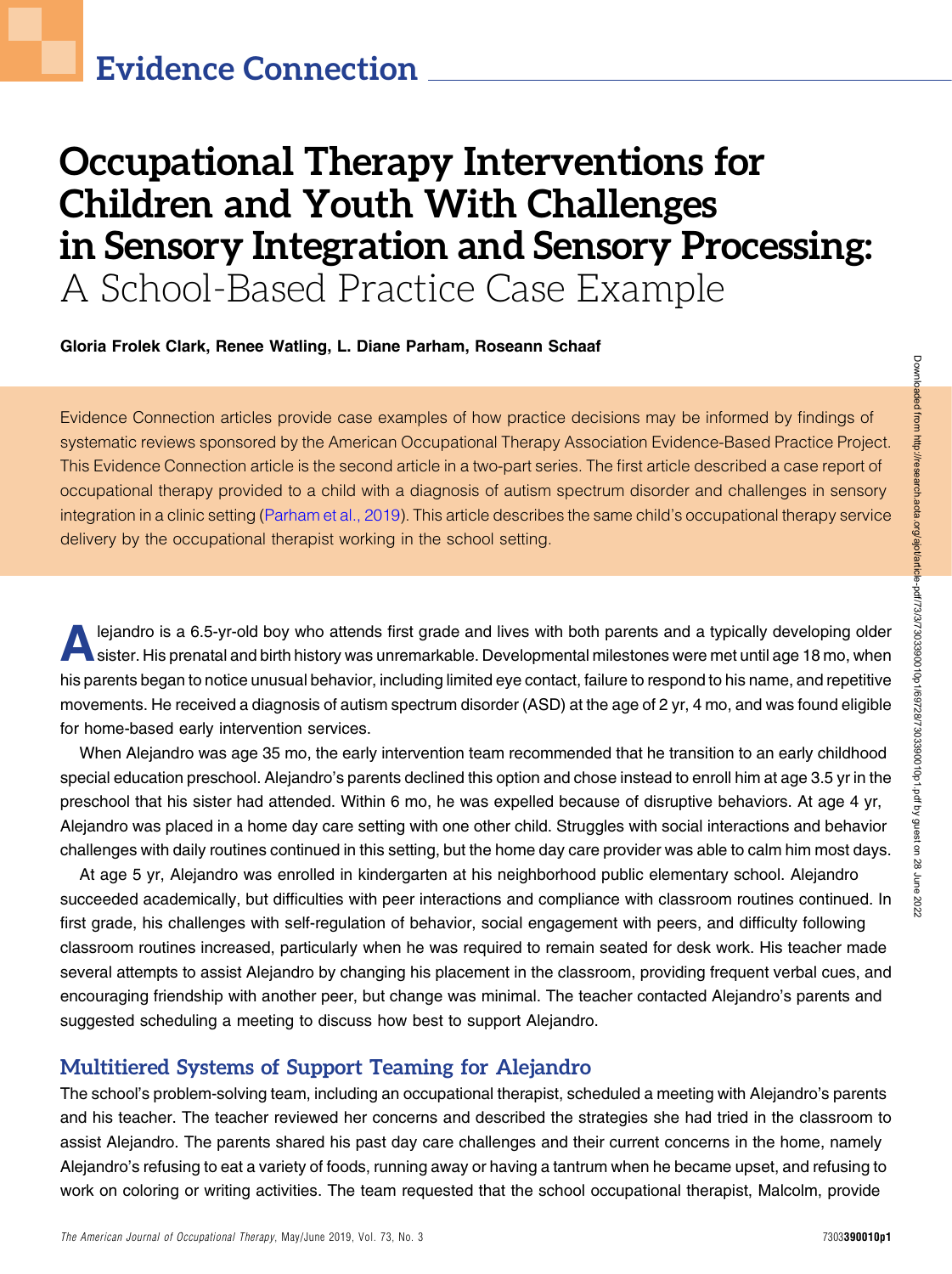# Occupational Therapy Interventions for Children and Youth With Challenges in Sensory Integration and Sensory Processing: A School-Based Practice Case Example

Gloria Frolek Clark, Renee Watling, L. Diane Parham, Roseann Schaaf

Evidence Connection articles provide case examples of how practice decisions may be informed by findings of systematic reviews sponsored by the American Occupational Therapy Association Evidence-Based Practice Project. This Evidence Connection article is the second article in a two-part series. The first article described a case report of occupational therapy provided to a child with a diagnosis of autism spectrum disorder and challenges in sensory integration in a clinic setting ([Parham et al., 2019\)](#page-6-0). This article describes the same child's occupational therapy service delivery by the occupational therapist working in the school setting.

lejandro is a 6.5-yr-old boy who attends first grade and lives with both parents and a typically developing older<br>sister. His prenatal and birth history was unremarkable. Developmental milestones were met until age 18 mo, sister. His prenatal and birth history was unremarkable. Developmental milestones were met until age 18 mo, when his parents began to notice unusual behavior, including limited eye contact, failure to respond to his name, and repetitive movements. He received a diagnosis of autism spectrum disorder (ASD) at the age of 2 yr, 4 mo, and was found eligible for home-based early intervention services.

When Alejandro was age 35 mo, the early intervention team recommended that he transition to an early childhood special education preschool. Alejandro's parents declined this option and chose instead to enroll him at age 3.5 yr in the preschool that his sister had attended. Within 6 mo, he was expelled because of disruptive behaviors. At age 4 yr, Alejandro was placed in a home day care setting with one other child. Struggles with social interactions and behavior challenges with daily routines continued in this setting, but the home day care provider was able to calm him most days.

At age 5 yr, Alejandro was enrolled in kindergarten at his neighborhood public elementary school. Alejandro succeeded academically, but difficulties with peer interactions and compliance with classroom routines continued. In first grade, his challenges with self-regulation of behavior, social engagement with peers, and difficulty following classroom routines increased, particularly when he was required to remain seated for desk work. His teacher made several attempts to assist Alejandro by changing his placement in the classroom, providing frequent verbal cues, and encouraging friendship with another peer, but change was minimal. The teacher contacted Alejandro's parents and suggested scheduling a meeting to discuss how best to support Alejandro.

### Multitiered Systems of Support Teaming for Alejandro

The school's problem-solving team, including an occupational therapist, scheduled a meeting with Alejandro's parents and his teacher. The teacher reviewed her concerns and described the strategies she had tried in the classroom to assist Alejandro. The parents shared his past day care challenges and their current concerns in the home, namely Alejandro's refusing to eat a variety of foods, running away or having a tantrum when he became upset, and refusing to work on coloring or writing activities. The team requested that the school occupational therapist, Malcolm, provide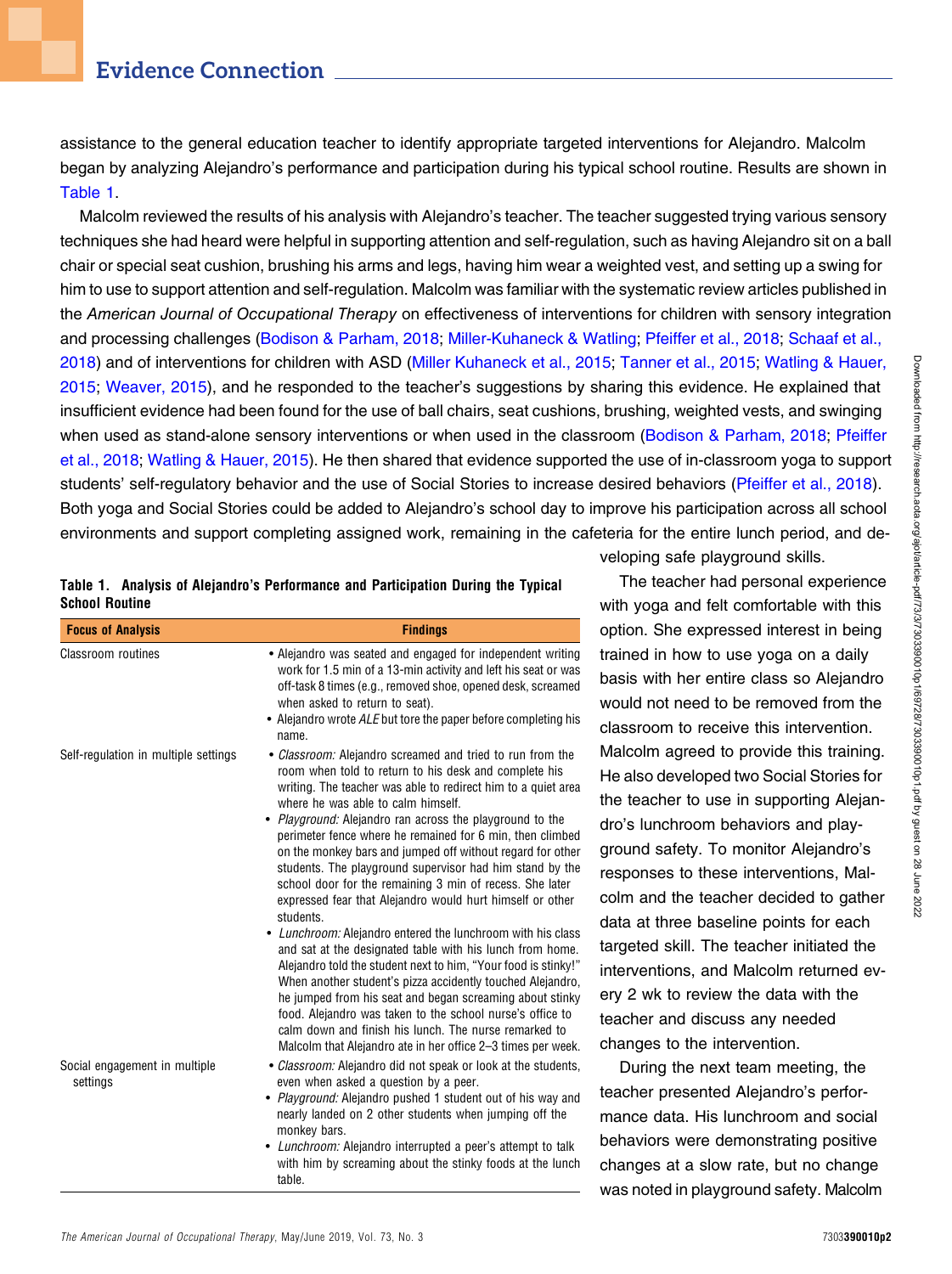assistance to the general education teacher to identify appropriate targeted interventions for Alejandro. Malcolm began by analyzing Alejandro's performance and participation during his typical school routine. Results are shown in [Table 1.](#page-1-0)

Malcolm reviewed the results of his analysis with Alejandro's teacher. The teacher suggested trying various sensory techniques she had heard were helpful in supporting attention and self-regulation, such as having Alejandro sit on a ball chair or special seat cushion, brushing his arms and legs, having him wear a weighted vest, and setting up a swing for him to use to support attention and self-regulation. Malcolm was familiar with the systematic review articles published in the American Journal of Occupational Therapy on effectiveness of interventions for children with sensory integration and processing challenges [\(Bodison & Parham, 2018;](#page-6-1) [Miller-Kuhaneck & Watling](#page-6-2); [Pfeiffer et al., 2018](#page-6-3); [Schaaf et al.,](#page-6-4) [2018](#page-6-4)) and of interventions for children with ASD [\(Miller Kuhaneck et al., 2015;](#page-6-5) [Tanner et al., 2015;](#page-6-6) [Watling & Hauer,](#page-6-7) [2015](#page-6-7); [Weaver, 2015](#page-7-0)), and he responded to the teacher's suggestions by sharing this evidence. He explained that insufficient evidence had been found for the use of ball chairs, seat cushions, brushing, weighted vests, and swinging when used as stand-alone sensory interventions or when used in the classroom ([Bodison & Parham, 2018](#page-6-1); [Pfeiffer](#page-6-3) [et al., 2018](#page-6-3); [Watling & Hauer, 2015\)](#page-6-7). He then shared that evidence supported the use of in-classroom yoga to support students' self-regulatory behavior and the use of Social Stories to increase desired behaviors ([Pfeiffer et al., 2018](#page-6-3)). Both yoga and Social Stories could be added to Alejandro's school day to improve his participation across all school environments and support completing assigned work, remaining in the cafeteria for the entire lunch period, and de-

<span id="page-1-0"></span>

|                       | Table 1. Analysis of Alejandro's Performance and Participation During the Typical |  |  |  |
|-----------------------|-----------------------------------------------------------------------------------|--|--|--|
| <b>School Routine</b> |                                                                                   |  |  |  |

| <b>Focus of Analysis</b>                  | <b>Findings</b>                                                                                                                                                                                                                                                                                                                                                                                                                                                                                                                                                                                                                                                                                                                                                                                                                                                                                                                                                                                                                                                                                                                  |
|-------------------------------------------|----------------------------------------------------------------------------------------------------------------------------------------------------------------------------------------------------------------------------------------------------------------------------------------------------------------------------------------------------------------------------------------------------------------------------------------------------------------------------------------------------------------------------------------------------------------------------------------------------------------------------------------------------------------------------------------------------------------------------------------------------------------------------------------------------------------------------------------------------------------------------------------------------------------------------------------------------------------------------------------------------------------------------------------------------------------------------------------------------------------------------------|
| Classroom routines                        | • Alejandro was seated and engaged for independent writing<br>work for 1.5 min of a 13-min activity and left his seat or was<br>off-task 8 times (e.g., removed shoe, opened desk, screamed<br>when asked to return to seat).<br>• Alejandro wrote ALE but tore the paper before completing his<br>name.                                                                                                                                                                                                                                                                                                                                                                                                                                                                                                                                                                                                                                                                                                                                                                                                                         |
| Self-regulation in multiple settings      | • Classroom: Alejandro screamed and tried to run from the<br>room when told to return to his desk and complete his<br>writing. The teacher was able to redirect him to a quiet area<br>where he was able to calm himself.<br>• Playground: Alejandro ran across the playground to the<br>perimeter fence where he remained for 6 min, then climbed<br>on the monkey bars and jumped off without regard for other<br>students. The playground supervisor had him stand by the<br>school door for the remaining 3 min of recess. She later<br>expressed fear that Alejandro would hurt himself or other<br>students.<br>• Lunchroom: Alejandro entered the lunchroom with his class<br>and sat at the designated table with his lunch from home.<br>Alejandro told the student next to him, "Your food is stinky!"<br>When another student's pizza accidently touched Alejandro,<br>he jumped from his seat and began screaming about stinky<br>food. Aleiandro was taken to the school nurse's office to<br>calm down and finish his lunch. The nurse remarked to<br>Malcolm that Alejandro ate in her office 2-3 times per week. |
| Social engagement in multiple<br>settings | • Classroom: Alejandro did not speak or look at the students,<br>even when asked a question by a peer.<br>• Playground: Alejandro pushed 1 student out of his way and<br>nearly landed on 2 other students when jumping off the<br>monkey bars.<br>• <i>Lunchroom:</i> Alejandro interrupted a peer's attempt to talk<br>with him by screaming about the stinky foods at the lunch<br>table.                                                                                                                                                                                                                                                                                                                                                                                                                                                                                                                                                                                                                                                                                                                                     |

veloping safe playground skills.

The teacher had personal experience with yoga and felt comfortable with this option. She expressed interest in being trained in how to use yoga on a daily basis with her entire class so Alejandro would not need to be removed from the classroom to receive this intervention. Malcolm agreed to provide this training. He also developed two Social Stories for the teacher to use in supporting Alejandro's lunchroom behaviors and playground safety. To monitor Alejandro's responses to these interventions, Malcolm and the teacher decided to gather data at three baseline points for each targeted skill. The teacher initiated the interventions, and Malcolm returned every 2 wk to review the data with the teacher and discuss any needed changes to the intervention.

During the next team meeting, the teacher presented Alejandro's performance data. His lunchroom and social behaviors were demonstrating positive changes at a slow rate, but no change was noted in playground safety. Malcolm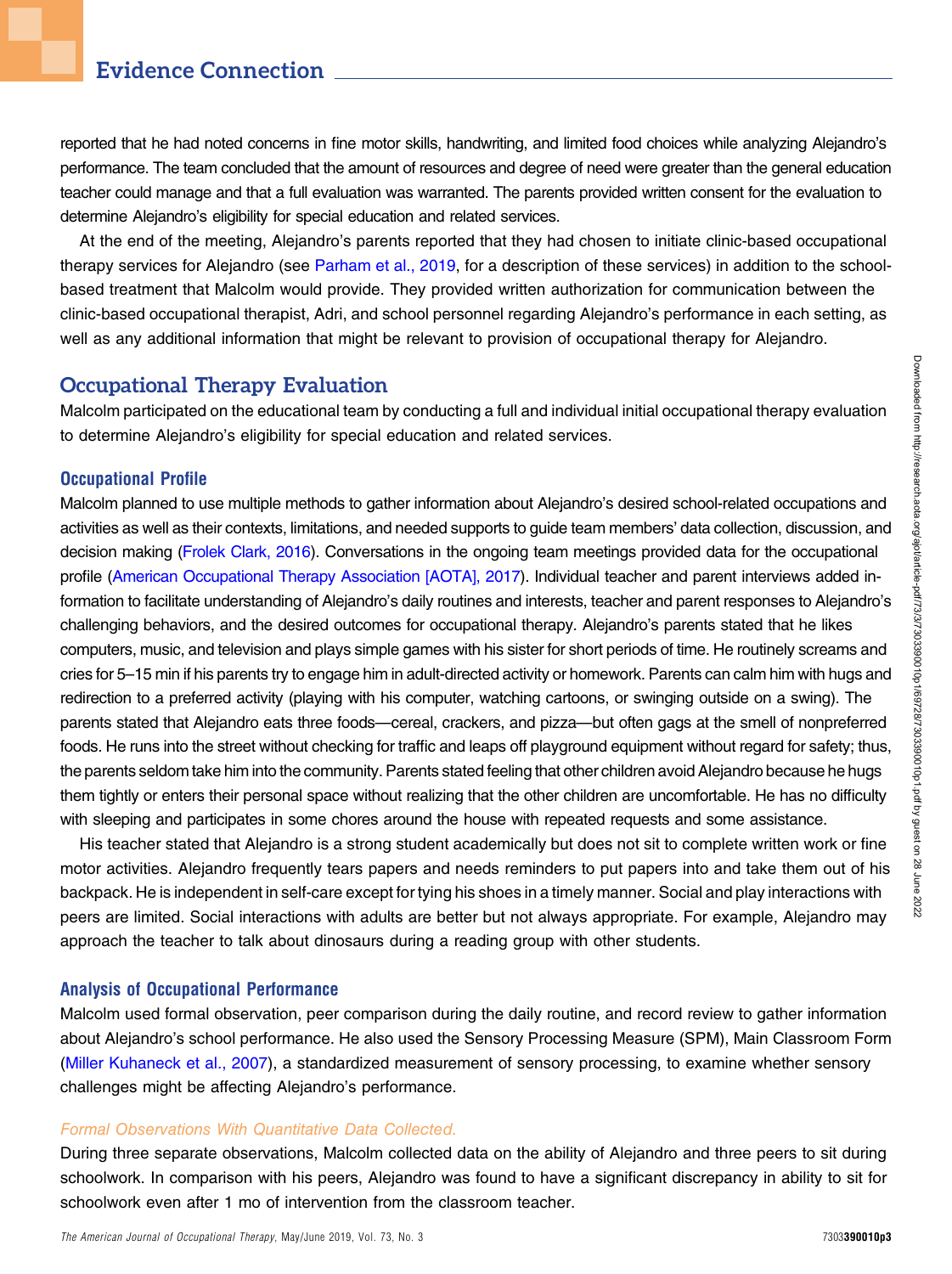# Evidence Connection

reported that he had noted concerns in fine motor skills, handwriting, and limited food choices while analyzing Alejandro's performance. The team concluded that the amount of resources and degree of need were greater than the general education teacher could manage and that a full evaluation was warranted. The parents provided written consent for the evaluation to determine Alejandro's eligibility for special education and related services.

At the end of the meeting, Alejandro's parents reported that they had chosen to initiate clinic-based occupational therapy services for Alejandro (see [Parham et al., 2019](#page-6-0), for a description of these services) in addition to the schoolbased treatment that Malcolm would provide. They provided written authorization for communication between the clinic-based occupational therapist, Adri, and school personnel regarding Alejandro's performance in each setting, as well as any additional information that might be relevant to provision of occupational therapy for Alejandro.

### Occupational Therapy Evaluation

Malcolm participated on the educational team by conducting a full and individual initial occupational therapy evaluation to determine Alejandro's eligibility for special education and related services.

#### Occupational Profile

Malcolm planned to use multiple methods to gather information about Alejandro's desired school-related occupations and activities as well as their contexts, limitations, and needed supports to guide team members' data collection, discussion, and decision making [\(Frolek Clark, 2016\)](#page-6-8). Conversations in the ongoing team meetings provided data for the occupational profile [\(American Occupational Therapy Association \[AOTA\], 2017\)](#page-6-9). Individual teacher and parent interviews added information to facilitate understanding of Alejandro's daily routines and interests, teacher and parent responses to Alejandro's challenging behaviors, and the desired outcomes for occupational therapy. Alejandro's parents stated that he likes computers, music, and television and plays simple games with his sister for short periods of time. He routinely screams and cries for 5–15 min if his parents try to engage him in adult-directed activity or homework. Parents can calm him with hugs and redirection to a preferred activity (playing with his computer, watching cartoons, or swinging outside on a swing). The parents stated that Alejandro eats three foods—cereal, crackers, and pizza—but often gags at the smell of nonpreferred foods. He runs into the street without checking for traffic and leaps off playground equipment without regard for safety; thus, the parents seldom take him into the community. Parents stated feeling that other children avoid Alejandro because he hugs them tightly or enters their personal space without realizing that the other children are uncomfortable. He has no difficulty with sleeping and participates in some chores around the house with repeated requests and some assistance.

His teacher stated that Alejandro is a strong student academically but does not sit to complete written work or fine motor activities. Alejandro frequently tears papers and needs reminders to put papers into and take them out of his backpack. He is independent in self-care except for tying his shoes in a timely manner. Social and play interactions with peers are limited. Social interactions with adults are better but not always appropriate. For example, Alejandro may approach the teacher to talk about dinosaurs during a reading group with other students.

#### Analysis of Occupational Performance

Malcolm used formal observation, peer comparison during the daily routine, and record review to gather information about Alejandro's school performance. He also used the Sensory Processing Measure (SPM), Main Classroom Form [\(Miller Kuhaneck et al., 2007\)](#page-6-10), a standardized measurement of sensory processing, to examine whether sensory challenges might be affecting Alejandro's performance.

#### Formal Observations With Quantitative Data Collected.

During three separate observations, Malcolm collected data on the ability of Alejandro and three peers to sit during schoolwork. In comparison with his peers, Alejandro was found to have a significant discrepancy in ability to sit for schoolwork even after 1 mo of intervention from the classroom teacher.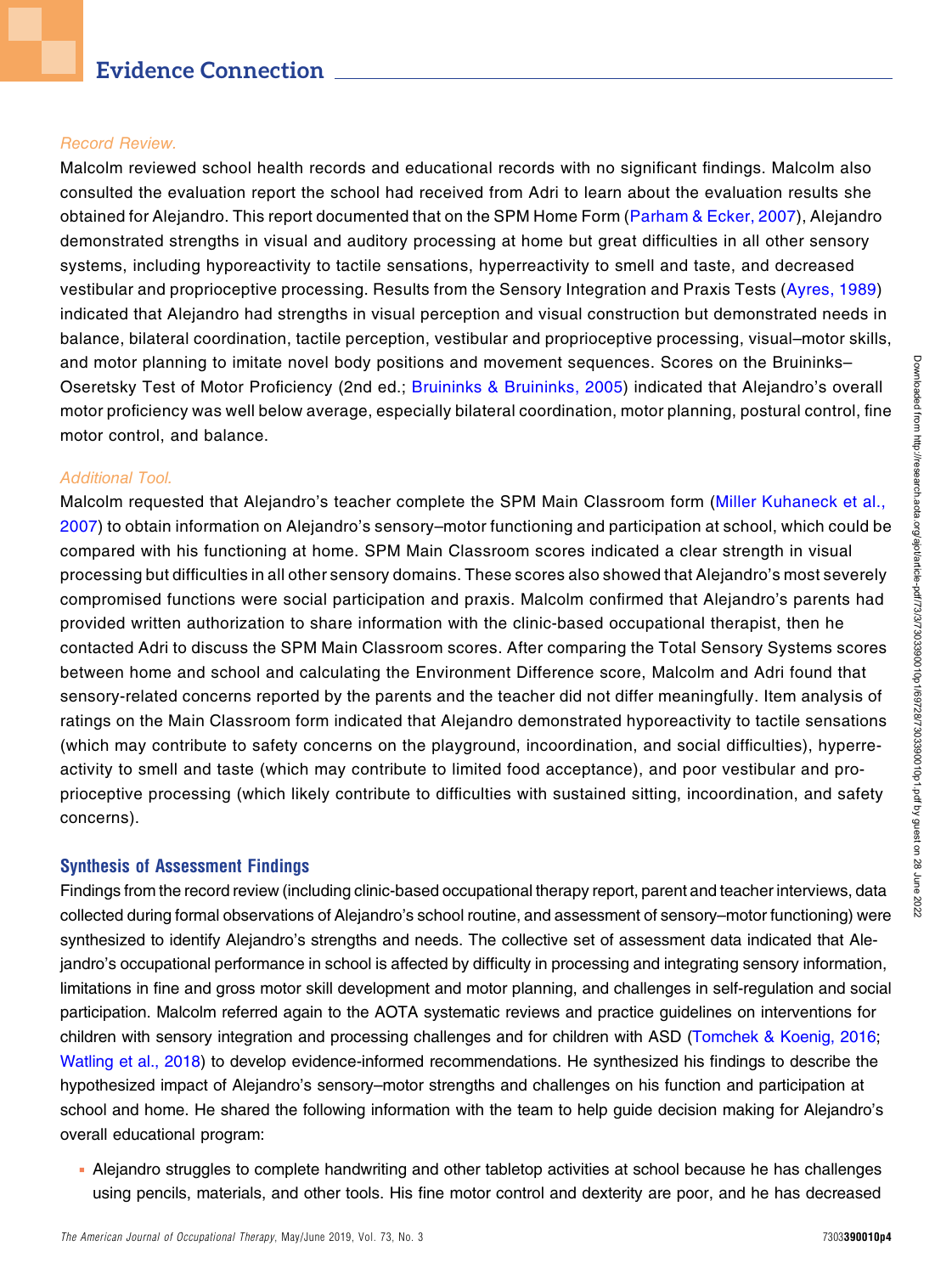#### Record Review.

Malcolm reviewed school health records and educational records with no significant findings. Malcolm also consulted the evaluation report the school had received from Adri to learn about the evaluation results she obtained for Alejandro. This report documented that on the SPM Home Form ([Parham & Ecker, 2007](#page-6-11)), Alejandro demonstrated strengths in visual and auditory processing at home but great difficulties in all other sensory systems, including hyporeactivity to tactile sensations, hyperreactivity to smell and taste, and decreased vestibular and proprioceptive processing. Results from the Sensory Integration and Praxis Tests [\(Ayres, 1989\)](#page-6-12) indicated that Alejandro had strengths in visual perception and visual construction but demonstrated needs in balance, bilateral coordination, tactile perception, vestibular and proprioceptive processing, visual–motor skills, and motor planning to imitate novel body positions and movement sequences. Scores on the Bruininks– Oseretsky Test of Motor Proficiency (2nd ed.; [Bruininks & Bruininks, 2005\)](#page-6-13) indicated that Alejandro's overall motor proficiency was well below average, especially bilateral coordination, motor planning, postural control, fine motor control, and balance.

#### Additional Tool.

Malcolm requested that Alejandro's teacher complete the SPM Main Classroom form ([Miller Kuhaneck et al.,](#page-6-10) [2007](#page-6-10)) to obtain information on Alejandro's sensory–motor functioning and participation at school, which could be compared with his functioning at home. SPM Main Classroom scores indicated a clear strength in visual processing but difficulties in all other sensory domains. These scores also showed that Alejandro's most severely compromised functions were social participation and praxis. Malcolm confirmed that Alejandro's parents had provided written authorization to share information with the clinic-based occupational therapist, then he contacted Adri to discuss the SPM Main Classroom scores. After comparing the Total Sensory Systems scores between home and school and calculating the Environment Difference score, Malcolm and Adri found that sensory-related concerns reported by the parents and the teacher did not differ meaningfully. Item analysis of ratings on the Main Classroom form indicated that Alejandro demonstrated hyporeactivity to tactile sensations (which may contribute to safety concerns on the playground, incoordination, and social difficulties), hyperreactivity to smell and taste (which may contribute to limited food acceptance), and poor vestibular and proprioceptive processing (which likely contribute to difficulties with sustained sitting, incoordination, and safety concerns).

#### Synthesis of Assessment Findings

Findings from the record review (including clinic-based occupational therapy report, parent and teacher interviews, data collected during formal observations of Alejandro's school routine, and assessment of sensory–motor functioning) were synthesized to identify Alejandro's strengths and needs. The collective set of assessment data indicated that Alejandro's occupational performance in school is affected by difficulty in processing and integrating sensory information, limitations in fine and gross motor skill development and motor planning, and challenges in self-regulation and social participation. Malcolm referred again to the AOTA systematic reviews and practice guidelines on interventions for children with sensory integration and processing challenges and for children with ASD ([Tomchek & Koenig, 2016;](#page-6-14) [Watling et al., 2018](#page-7-1)) to develop evidence-informed recommendations. He synthesized his findings to describe the hypothesized impact of Alejandro's sensory–motor strengths and challenges on his function and participation at school and home. He shared the following information with the team to help guide decision making for Alejandro's overall educational program:

<sup>n</sup> Alejandro struggles to complete handwriting and other tabletop activities at school because he has challenges using pencils, materials, and other tools. His fine motor control and dexterity are poor, and he has decreased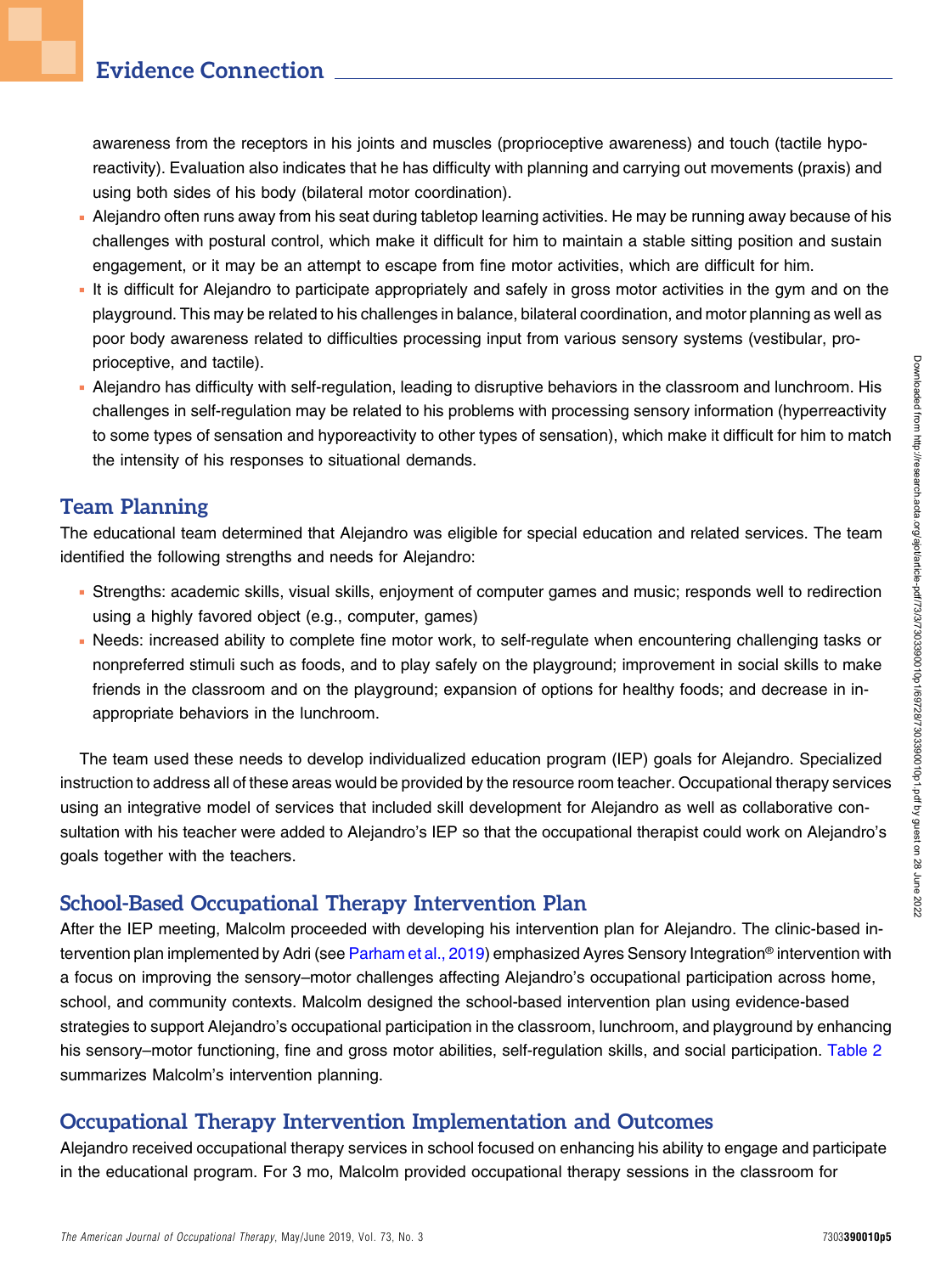awareness from the receptors in his joints and muscles (proprioceptive awareness) and touch (tactile hyporeactivity). Evaluation also indicates that he has difficulty with planning and carrying out movements (praxis) and using both sides of his body (bilateral motor coordination).

- <sup>n</sup> Alejandro often runs away from his seat during tabletop learning activities. He may be running away because of his challenges with postural control, which make it difficult for him to maintain a stable sitting position and sustain engagement, or it may be an attempt to escape from fine motor activities, which are difficult for him.
- It is difficult for Alejandro to participate appropriately and safely in gross motor activities in the gym and on the playground. This may be related to his challenges in balance, bilateral coordination, and motor planning as well as poor body awareness related to difficulties processing input from various sensory systems (vestibular, proprioceptive, and tactile).
- <sup>n</sup> Alejandro has difficulty with self-regulation, leading to disruptive behaviors in the classroom and lunchroom. His challenges in self-regulation may be related to his problems with processing sensory information (hyperreactivity to some types of sensation and hyporeactivity to other types of sensation), which make it difficult for him to match the intensity of his responses to situational demands.

### Team Planning

The educational team determined that Alejandro was eligible for special education and related services. The team identified the following strengths and needs for Alejandro:

- <sup>n</sup> Strengths: academic skills, visual skills, enjoyment of computer games and music; responds well to redirection using a highly favored object (e.g., computer, games)
- <sup>n</sup> Needs: increased ability to complete fine motor work, to self-regulate when encountering challenging tasks or nonpreferred stimuli such as foods, and to play safely on the playground; improvement in social skills to make friends in the classroom and on the playground; expansion of options for healthy foods; and decrease in inappropriate behaviors in the lunchroom.

The team used these needs to develop individualized education program (IEP) goals for Alejandro. Specialized instruction to address all of these areas would be provided by the resource room teacher. Occupational therapy services using an integrative model of services that included skill development for Alejandro as well as collaborative consultation with his teacher were added to Alejandro's IEP so that the occupational therapist could work on Alejandro's goals together with the teachers.

# School-Based Occupational Therapy Intervention Plan

After the IEP meeting, Malcolm proceeded with developing his intervention plan for Alejandro. The clinic-based in-tervention plan implemented by Adri (see [Parham et al., 2019\)](#page-6-0) emphasized Ayres Sensory Integration® intervention with a focus on improving the sensory–motor challenges affecting Alejandro's occupational participation across home, school, and community contexts. Malcolm designed the school-based intervention plan using evidence-based strategies to support Alejandro's occupational participation in the classroom, lunchroom, and playground by enhancing his sensory–motor functioning, fine and gross motor abilities, self-regulation skills, and social participation. [Table 2](#page-5-0) summarizes Malcolm's intervention planning.

### Occupational Therapy Intervention Implementation and Outcomes

Alejandro received occupational therapy services in school focused on enhancing his ability to engage and participate in the educational program. For 3 mo, Malcolm provided occupational therapy sessions in the classroom for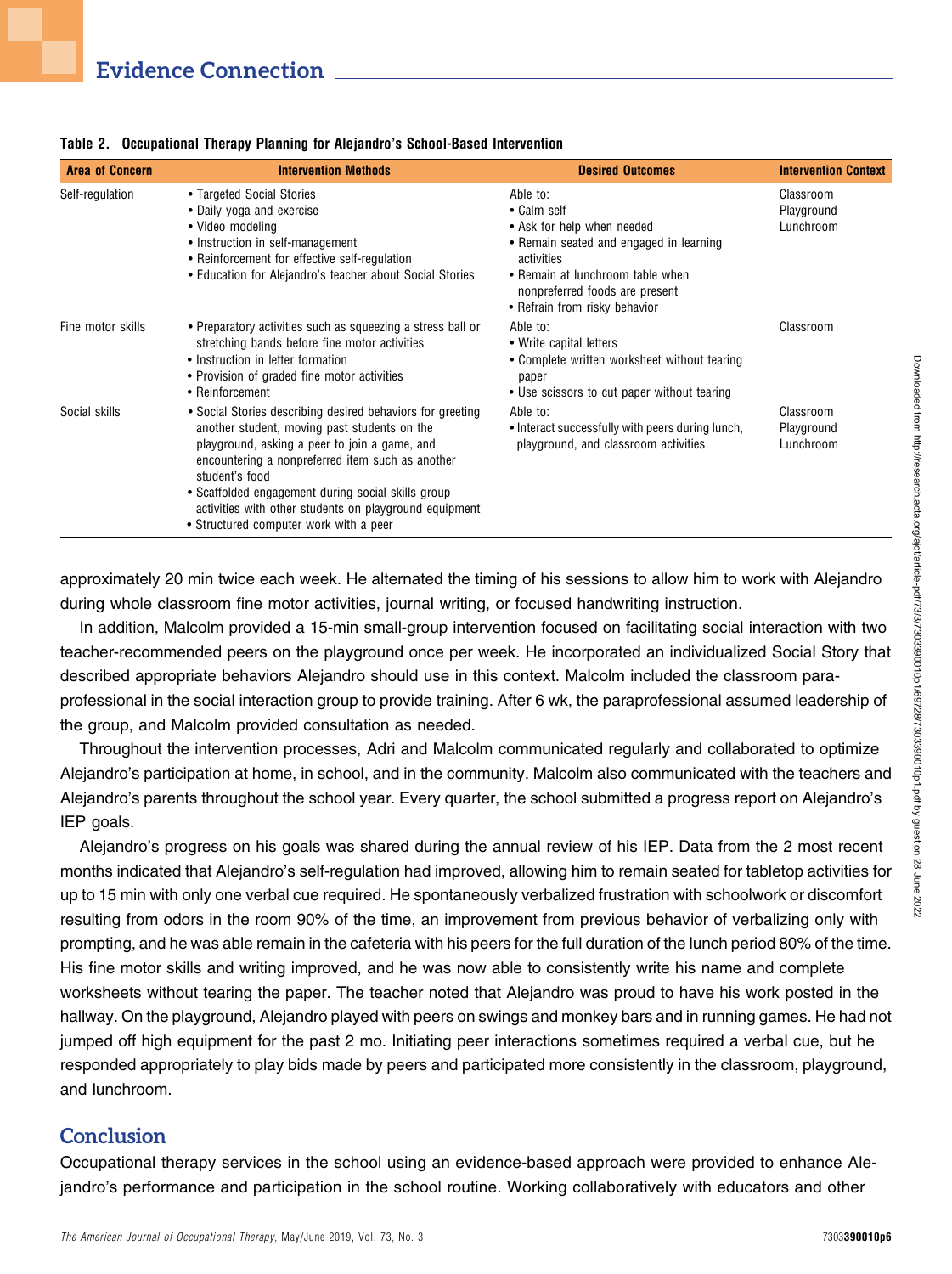| <b>Area of Concern</b>                                                                                                                                                                                                                                                                                                                                                                                       | <b>Intervention Methods</b>                                                                                                                                                                                         | <b>Desired Outcomes</b>                                                                                                                     | <b>Intervention Context</b>          |
|--------------------------------------------------------------------------------------------------------------------------------------------------------------------------------------------------------------------------------------------------------------------------------------------------------------------------------------------------------------------------------------------------------------|---------------------------------------------------------------------------------------------------------------------------------------------------------------------------------------------------------------------|---------------------------------------------------------------------------------------------------------------------------------------------|--------------------------------------|
| Self-regulation                                                                                                                                                                                                                                                                                                                                                                                              | • Targeted Social Stories<br>• Daily yoga and exercise<br>• Video modeling<br>• Instruction in self-management<br>• Reinforcement for effective self-regulation                                                     | Able to:<br>• Calm self<br>• Ask for help when needed<br>• Remain seated and engaged in learning<br>activities                              | Classroom<br>Playground<br>Lunchroom |
|                                                                                                                                                                                                                                                                                                                                                                                                              | • Education for Alejandro's teacher about Social Stories                                                                                                                                                            | • Remain at lunchroom table when<br>nonpreferred foods are present<br>• Refrain from risky behavior                                         |                                      |
| Fine motor skills                                                                                                                                                                                                                                                                                                                                                                                            | • Preparatory activities such as squeezing a stress ball or<br>stretching bands before fine motor activities<br>• Instruction in letter formation<br>• Provision of graded fine motor activities<br>• Reinforcement | Able to:<br>• Write capital letters<br>• Complete written worksheet without tearing<br>paper<br>• Use scissors to cut paper without tearing | Classroom                            |
| Social skills<br>• Social Stories describing desired behaviors for greeting<br>another student, moving past students on the<br>playground, asking a peer to join a game, and<br>encountering a nonpreferred item such as another<br>student's food<br>• Scaffolded engagement during social skills group<br>activities with other students on playground equipment<br>• Structured computer work with a peer |                                                                                                                                                                                                                     | Able to:<br>• Interact successfully with peers during lunch,<br>playground, and classroom activities                                        | Classroom<br>Playground<br>Lunchroom |

<span id="page-5-0"></span>Table 2. Occupational Therapy Planning for Alejandro's School-Based Intervention

approximately 20 min twice each week. He alternated the timing of his sessions to allow him to work with Alejandro during whole classroom fine motor activities, journal writing, or focused handwriting instruction.

In addition, Malcolm provided a 15-min small-group intervention focused on facilitating social interaction with two teacher-recommended peers on the playground once per week. He incorporated an individualized Social Story that described appropriate behaviors Alejandro should use in this context. Malcolm included the classroom paraprofessional in the social interaction group to provide training. After 6 wk, the paraprofessional assumed leadership of the group, and Malcolm provided consultation as needed.

Throughout the intervention processes, Adri and Malcolm communicated regularly and collaborated to optimize Alejandro's participation at home, in school, and in the community. Malcolm also communicated with the teachers and Alejandro's parents throughout the school year. Every quarter, the school submitted a progress report on Alejandro's IEP goals.

Alejandro's progress on his goals was shared during the annual review of his IEP. Data from the 2 most recent months indicated that Alejandro's self-regulation had improved, allowing him to remain seated for tabletop activities for up to 15 min with only one verbal cue required. He spontaneously verbalized frustration with schoolwork or discomfort resulting from odors in the room 90% of the time, an improvement from previous behavior of verbalizing only with prompting, and he was able remain in the cafeteria with his peers for the full duration of the lunch period 80% of the time. His fine motor skills and writing improved, and he was now able to consistently write his name and complete worksheets without tearing the paper. The teacher noted that Alejandro was proud to have his work posted in the hallway. On the playground, Alejandro played with peers on swings and monkey bars and in running games. He had not jumped off high equipment for the past 2 mo. Initiating peer interactions sometimes required a verbal cue, but he responded appropriately to play bids made by peers and participated more consistently in the classroom, playground, and lunchroom.

### **Conclusion**

Occupational therapy services in the school using an evidence-based approach were provided to enhance Alejandro's performance and participation in the school routine. Working collaboratively with educators and other

Downloaded from http://research.aota.org/ajot/article-pdf/73/3/7303390010p1/69728/7303390010p1.pdf by guest on 28 June 2022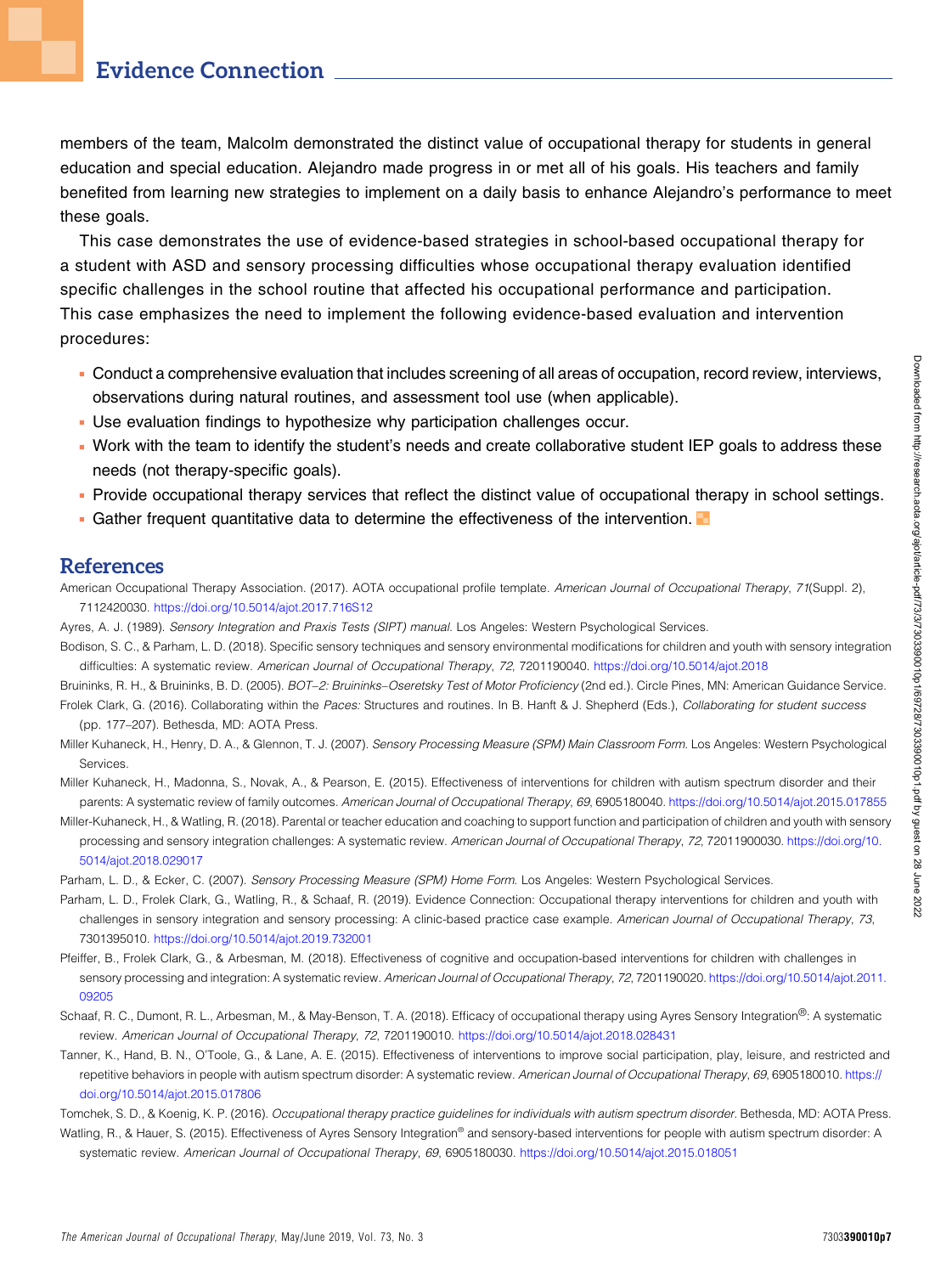### Evidence Connection

members of the team, Malcolm demonstrated the distinct value of occupational therapy for students in general education and special education. Alejandro made progress in or met all of his goals. His teachers and family benefited from learning new strategies to implement on a daily basis to enhance Alejandro's performance to meet these goals.

This case demonstrates the use of evidence-based strategies in school-based occupational therapy for a student with ASD and sensory processing difficulties whose occupational therapy evaluation identified specific challenges in the school routine that affected his occupational performance and participation. This case emphasizes the need to implement the following evidence-based evaluation and intervention procedures:

- <sup>n</sup> Conduct a comprehensive evaluation that includes screening of all areas of occupation, record review, interviews, observations during natural routines, and assessment tool use (when applicable).
- Use evaluation findings to hypothesize why participation challenges occur.
- <sup>n</sup> Work with the team to identify the student's needs and create collaborative student IEP goals to address these needs (not therapy-specific goals).
- <sup>n</sup> Provide occupational therapy services that reflect the distinct value of occupational therapy in school settings.
- **Gather frequent quantitative data to determine the effectiveness of the intervention.**

#### References

<span id="page-6-9"></span>American Occupational Therapy Association. (2017). AOTA occupational profile template. American Journal of Occupational Therapy, 71(Suppl. 2), 7112420030. <https://doi.org/10.5014/ajot.2017.716S12>

- <span id="page-6-12"></span>Ayres, A. J. (1989). Sensory Integration and Praxis Tests (SIPT) manual. Los Angeles: Western Psychological Services.
- <span id="page-6-1"></span>Bodison, S. C., & Parham, L. D. (2018). Specific sensory techniques and sensory environmental modifications for children and youth with sensory integration difficulties: A systematic review. American Journal of Occupational Therapy, 72, 7201190040. <https://doi.org/10.5014/ajot.2018>

<span id="page-6-13"></span>Bruininks, R. H., & Bruininks, B. D. (2005). BOT-2: Bruininks-Oseretsky Test of Motor Proficiency (2nd ed.). Circle Pines, MN: American Guidance Service.

- <span id="page-6-8"></span>Frolek Clark, G. (2016). Collaborating within the Paces: Structures and routines. In B. Hanft & J. Shepherd (Eds.), Collaborating for student success (pp. 177–207). Bethesda, MD: AOTA Press.
- <span id="page-6-10"></span>Miller Kuhaneck, H., Henry, D. A., & Glennon, T. J. (2007). Sensory Processing Measure (SPM) Main Classroom Form. Los Angeles: Western Psychological Services.
- <span id="page-6-5"></span>Miller Kuhaneck, H., Madonna, S., Novak, A., & Pearson, E. (2015). Effectiveness of interventions for children with autism spectrum disorder and their parents: A systematic review of family outcomes. American Journal of Occupational Therapy, 69, 6905180040. <https://doi.org/10.5014/ajot.2015.017855>
- <span id="page-6-2"></span>Miller-Kuhaneck, H., & Watling, R. (2018). Parental or teacher education and coaching to support function and participation of children and youth with sensory processing and sensory integration challenges: A systematic review. American Journal of Occupational Therapy, 72, 72011900030. [https://doi.org/10.](https://doi.org/10.5014/ajot.2018.029017) [5014/ajot.2018.029017](https://doi.org/10.5014/ajot.2018.029017)
- <span id="page-6-11"></span><span id="page-6-0"></span>Parham, L. D., & Ecker, C. (2007). Sensory Processing Measure (SPM) Home Form. Los Angeles: Western Psychological Services.
- Parham, L. D., Frolek Clark, G., Watling, R., & Schaaf, R. (2019). Evidence Connection: Occupational therapy interventions for children and youth with challenges in sensory integration and sensory processing: A clinic-based practice case example. American Journal of Occupational Therapy, 73, 7301395010. <https://doi.org/10.5014/ajot.2019.732001>
- <span id="page-6-3"></span>Pfeiffer, B., Frolek Clark, G., & Arbesman, M. (2018). Effectiveness of cognitive and occupation-based interventions for children with challenges in sensory processing and integration: A systematic review. American Journal of Occupational Therapy, 72, 7201190020. [https://doi.org/10.5014/ajot.2011.](https://doi.org/10.5014/ajot.2011.09205) [09205](https://doi.org/10.5014/ajot.2011.09205)
- <span id="page-6-4"></span>Schaaf, R. C., Dumont, R. L., Arbesman, M., & May-Benson, T. A. (2018). Efficacy of occupational therapy using Ayres Sensory Integration®: A systematic review. American Journal of Occupational Therapy, 72, 7201190010. <https://doi.org/10.5014/ajot.2018.028431>
- <span id="page-6-6"></span>Tanner, K., Hand, B. N., O'Toole, G., & Lane, A. E. (2015). Effectiveness of interventions to improve social participation, play, leisure, and restricted and repetitive behaviors in people with autism spectrum disorder: A systematic review. American Journal of Occupational Therapy, 69, 6905180010. [https://](https://doi.org/10.5014/ajot.2015.017806) [doi.org/10.5014/ajot.2015.017806](https://doi.org/10.5014/ajot.2015.017806)

<span id="page-6-14"></span>Tomchek, S. D., & Koenig, K. P. (2016). Occupational therapy practice guidelines for individuals with autism spectrum disorder. Bethesda, MD: AOTA Press.

<span id="page-6-7"></span>Watling, R., & Hauer, S. (2015). Effectiveness of Ayres Sensory Integration® and sensory-based interventions for people with autism spectrum disorder: A systematic review. American Journal of Occupational Therapy, 69, 6905180030. <https://doi.org/10.5014/ajot.2015.018051>